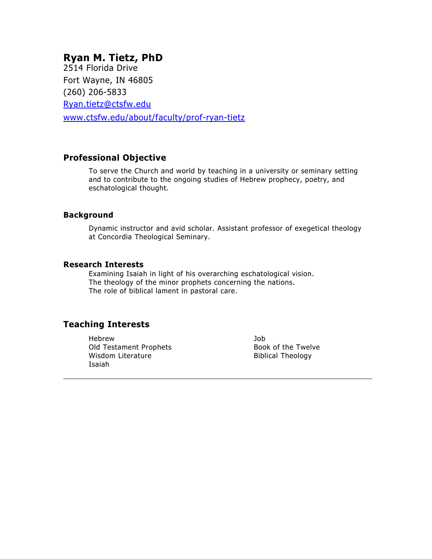# **Ryan M. Tietz, PhD**

2514 Florida Drive Fort Wayne, IN 46805 (260) 206-5833 [Ryan.tietz@ctsfw.edu](mailto:Ryan.tietz@ctsfw.edu) [www.ctsfw.edu/about/faculty/prof-ryan-tietz](http://www.ctsfw.edu/about/faculty/prof-ryan-tietz)

# **Professional Objective**

To serve the Church and world by teaching in a university or seminary setting and to contribute to the ongoing studies of Hebrew prophecy, poetry, and eschatological thought.

#### **Background**

Dynamic instructor and avid scholar. Assistant professor of exegetical theology at Concordia Theological Seminary.

### **Research Interests**

Examining Isaiah in light of his overarching eschatological vision. The theology of the minor prophets concerning the nations. The role of biblical lament in pastoral care.

# **Teaching Interests**

Hebrew Old Testament Prophets Wisdom Literature Isaiah

Job Book of the Twelve Biblical Theology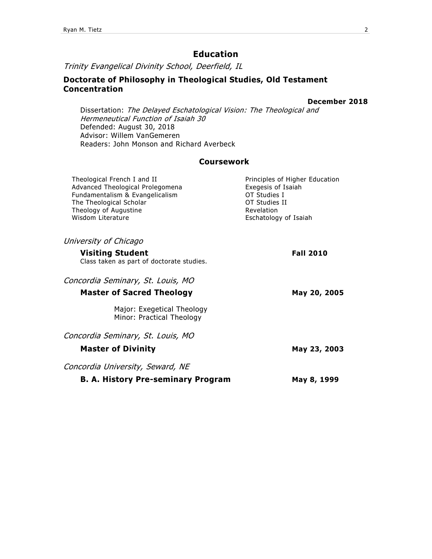# **Education**

Trinity Evangelical Divinity School, Deerfield, IL

### **Doctorate of Philosophy in Theological Studies, Old Testament Concentration**

#### **December 2018**

Dissertation: The Delayed Eschatological Vision: The Theological and Hermeneutical Function of Isaiah 30 Defended: August 30, 2018 Advisor: Willem VanGemeren Readers: John Monson and Richard Averbeck

### **Coursework**

| Theological French I and II<br>Advanced Theological Prolegomena<br>Fundamentalism & Evangelicalism<br>The Theological Scholar<br>Theology of Augustine<br>Wisdom Literature | Principles of Higher Education<br>Exegesis of Isaiah<br>OT Studies I<br>OT Studies II<br>Revelation<br>Eschatology of Isaiah |
|-----------------------------------------------------------------------------------------------------------------------------------------------------------------------------|------------------------------------------------------------------------------------------------------------------------------|
| University of Chicago                                                                                                                                                       |                                                                                                                              |
| <b>Visiting Student</b><br>Class taken as part of doctorate studies.                                                                                                        | <b>Fall 2010</b>                                                                                                             |
| Concordia Seminary, St. Louis, MO                                                                                                                                           |                                                                                                                              |
| <b>Master of Sacred Theology</b>                                                                                                                                            | May 20, 2005                                                                                                                 |
| Major: Exegetical Theology<br>Minor: Practical Theology                                                                                                                     |                                                                                                                              |
| Concordia Seminary, St. Louis, MO                                                                                                                                           |                                                                                                                              |
| <b>Master of Divinity</b>                                                                                                                                                   | May 23, 2003                                                                                                                 |
| Concordia University, Seward, NE                                                                                                                                            |                                                                                                                              |
| <b>B. A. History Pre-seminary Program</b>                                                                                                                                   | May 8, 1999                                                                                                                  |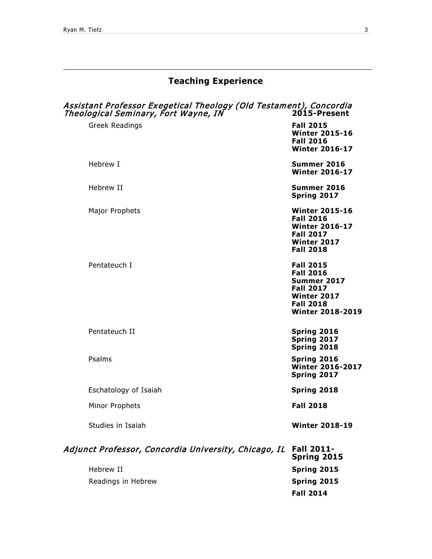# **Teaching Experience**

| Theological Seminary, Fort Wayne, IN | Assistant Professor Exegetical Theology (Old Testament), Concordia | 2015-Present                                                                                                                          |
|--------------------------------------|--------------------------------------------------------------------|---------------------------------------------------------------------------------------------------------------------------------------|
| Greek Readings                       |                                                                    | <b>Fall 2015</b><br><b>Winter 2015-16</b><br><b>Fall 2016</b><br><b>Winter 2016-17</b>                                                |
| Hebrew I                             |                                                                    | Summer 2016<br><b>Winter 2016-17</b>                                                                                                  |
| Hebrew II                            |                                                                    | Summer 2016<br>Spring 2017                                                                                                            |
| Major Prophets                       |                                                                    | <b>Winter 2015-16</b><br><b>Fall 2016</b><br><b>Winter 2016-17</b><br><b>Fall 2017</b><br><b>Winter 2017</b><br><b>Fall 2018</b>      |
| Pentateuch I                         |                                                                    | <b>Fall 2015</b><br><b>Fall 2016</b><br>Summer 2017<br><b>Fall 2017</b><br>Winter 2017<br><b>Fall 2018</b><br><b>Winter 2018-2019</b> |
| Pentateuch II                        |                                                                    | Spring 2016<br>Spring 2017<br>Spring 2018                                                                                             |
| Psalms                               |                                                                    | Spring 2016<br><b>Winter 2016-2017</b><br>Spring 2017                                                                                 |
| Eschatology of Isaiah                |                                                                    | Spring 2018                                                                                                                           |
| Minor Prophets                       |                                                                    | <b>Fall 2018</b>                                                                                                                      |
| Studies in Isaiah                    |                                                                    | <b>Winter 2018-19</b>                                                                                                                 |
|                                      | Adjunct Professor, Concordia University, Chicago, IL               | <b>Fall 2011-</b><br>Spring 2015                                                                                                      |
| Hebrew II                            |                                                                    | Spring 2015                                                                                                                           |
| Readings in Hebrew                   |                                                                    | Spring 2015                                                                                                                           |

**Fall 2014**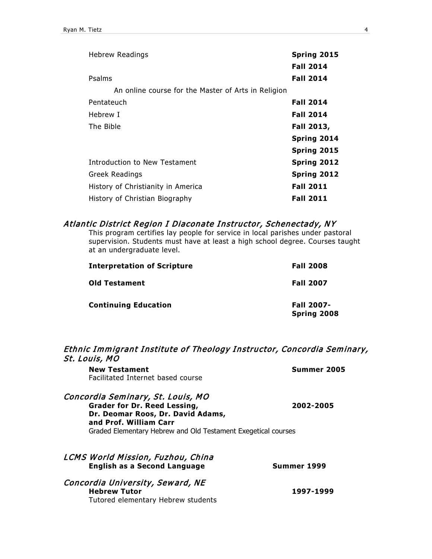| <b>Hebrew Readings</b>                              | Spring 2015<br><b>Fall 2014</b> |
|-----------------------------------------------------|---------------------------------|
| Psalms                                              | <b>Fall 2014</b>                |
| An online course for the Master of Arts in Religion |                                 |
| Pentateuch                                          | <b>Fall 2014</b>                |
| Hebrew I                                            | <b>Fall 2014</b>                |
| The Bible                                           | Fall 2013,                      |
|                                                     | Spring 2014                     |
|                                                     | Spring 2015                     |
| Introduction to New Testament                       | Spring 2012                     |
| <b>Greek Readings</b>                               | <b>Spring 2012</b>              |
| History of Christianity in America                  | <b>Fall 2011</b>                |
| History of Christian Biography                      | <b>Fall 2011</b>                |

#### Atlantic District Region I Diaconate Instructor, Schenectady, NY

This program certifies lay people for service in local parishes under pastoral supervision. Students must have at least a high school degree. Courses taught at an undergraduate level.

| <b>Interpretation of Scripture</b> | <b>Fall 2008</b>                 |
|------------------------------------|----------------------------------|
| Old Testament                      | <b>Fall 2007</b>                 |
| <b>Continuing Education</b>        | <b>Fall 2007-</b><br>Spring 2008 |

# Ethnic Immigrant Institute of Theology Instructor, Concordia Seminary, St. Louis, MO

| Summer 2005                                                                |
|----------------------------------------------------------------------------|
| 2002-2005<br>Graded Elementary Hebrew and Old Testament Exegetical courses |
|                                                                            |
| Summer 1999                                                                |
| 1997-1999                                                                  |
|                                                                            |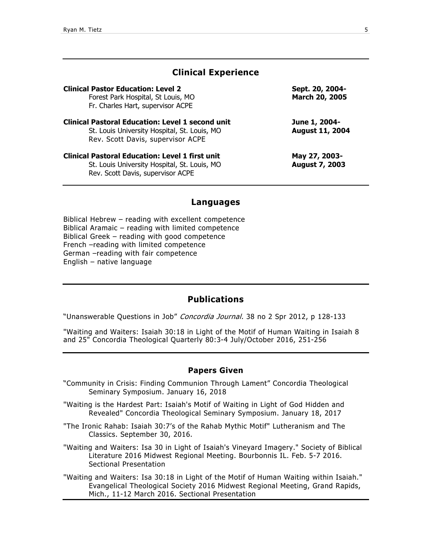### **Clinical Experience**

| <b>Clinical Pastor Education: Level 2</b><br>Forest Park Hospital, St Louis, MO<br>Fr. Charles Hart, supervisor ACPE                         | Sept. 20, 2004-<br>March 20, 2005       |
|----------------------------------------------------------------------------------------------------------------------------------------------|-----------------------------------------|
| <b>Clinical Pastoral Education: Level 1 second unit</b><br>St. Louis University Hospital, St. Louis, MO<br>Rev. Scott Davis, supervisor ACPE | June 1, 2004-<br><b>August 11, 2004</b> |
| <b>Clinical Pastoral Education: Level 1 first unit</b><br>St. Louis University Hospital, St. Louis, MO<br>Rev. Scott Davis, supervisor ACPE  | May 27, 2003-<br><b>August 7, 2003</b>  |

#### **Languages**

Biblical Hebrew – reading with excellent competence Biblical Aramaic – reading with limited competence Biblical Greek – reading with good competence French –reading with limited competence German –reading with fair competence English – native language

# **Publications**

"Unanswerable Questions in Job" [Concordia Journal.](javascript:__doLinkPostBack() 38 no 2 Spr 2012, p 128-133

"Waiting and Waiters: Isaiah 30:18 in Light of the Motif of Human Waiting in Isaiah 8 and 25" Concordia Theological Quarterly 80:3-4 July/October 2016, 251-256

#### **Papers Given**

- "Community in Crisis: Finding Communion Through Lament" Concordia Theological Seminary Symposium. January 16, 2018
- "Waiting is the Hardest Part: Isaiah's Motif of Waiting in Light of God Hidden and Revealed" Concordia Theological Seminary Symposium. January 18, 2017
- "The Ironic Rahab: Isaiah 30:7's of the Rahab Mythic Motif" Lutheranism and The Classics. September 30, 2016.

"Waiting and Waiters: Isa 30 in Light of Isaiah's Vineyard Imagery." Society of Biblical Literature 2016 Midwest Regional Meeting. Bourbonnis IL. Feb. 5-7 2016. Sectional Presentation

"Waiting and Waiters: Isa 30:18 in Light of the Motif of Human Waiting within Isaiah." Evangelical Theological Society 2016 Midwest Regional Meeting, Grand Rapids, Mich., 11-12 March 2016. Sectional Presentation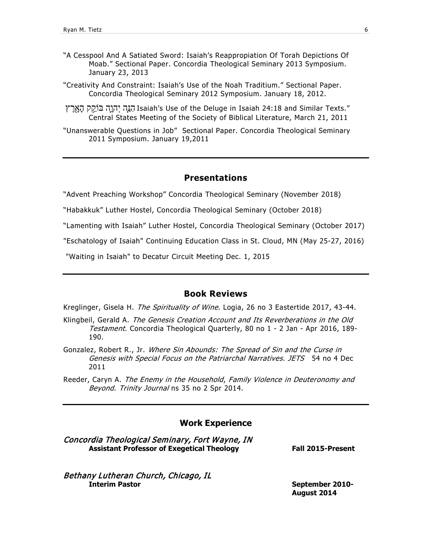- "A Cesspool And A Satiated Sword: Isaiah's Reappropiation Of Torah Depictions Of Moab." Sectional Paper. Concordia Theological Seminary 2013 Symposium. January 23, 2013
- "Creativity And Constraint: Isaiah's Use of the Noah Traditium." Sectional Paper. Concordia Theological Seminary 2012 Symposium. January 18, 2012.
- הַנֵּה יְהוֵה בּוֹקֵק הַאָרֵץ Isaiah's Use of the Deluge in Isaiah 24:18 and Similar Texts." Central States Meeting of the Society of Biblical Literature, March 21, 2011
- "Unanswerable Questions in Job" Sectional Paper. Concordia Theological Seminary 2011 Symposium. January 19,2011

#### **Presentations**

"Advent Preaching Workshop" Concordia Theological Seminary (November 2018)

"Habakkuk" Luther Hostel, Concordia Theological Seminary (October 2018)

"Lamenting with Isaiah" Luther Hostel, Concordia Theological Seminary (October 2017)

"Eschatology of Isaiah" Continuing Education Class in St. Cloud, MN (May 25-27, 2016)

"Waiting in Isaiah" to Decatur Circuit Meeting Dec. 1, 2015

#### **Book Reviews**

Kreglinger, Gisela H. The Spirituality of Wine. Logia, 26 no 3 Eastertide 2017, 43-44.

- Klingbeil, Gerald A. The Genesis Creation Account and Its Reverberations in the Old Testament. Concordia Theological Quarterly, 80 no 1 - 2 Jan - Apr 2016, 189-190.
- Gonzalez, Robert R., Jr. Where Sin Abounds: The Spread of Sin and the Curse in Genesis with Special Focus on the Patriarchal Narratives. JETS 54 no 4 Dec 2011
- Reeder, Caryn A. The Enemy in the Household, Family Violence in Deuteronomy and Beyond. Trinity Journal ns 35 no 2 Spr 2014.

#### **Work Experience**

Concordia Theological Seminary, Fort Wayne, IN **Assistant Professor of Exegetical Theology Fall 2015-Present**

Bethany Lutheran Church, Chicago, IL **Interim Pastor September 2010-**

**August 2014**